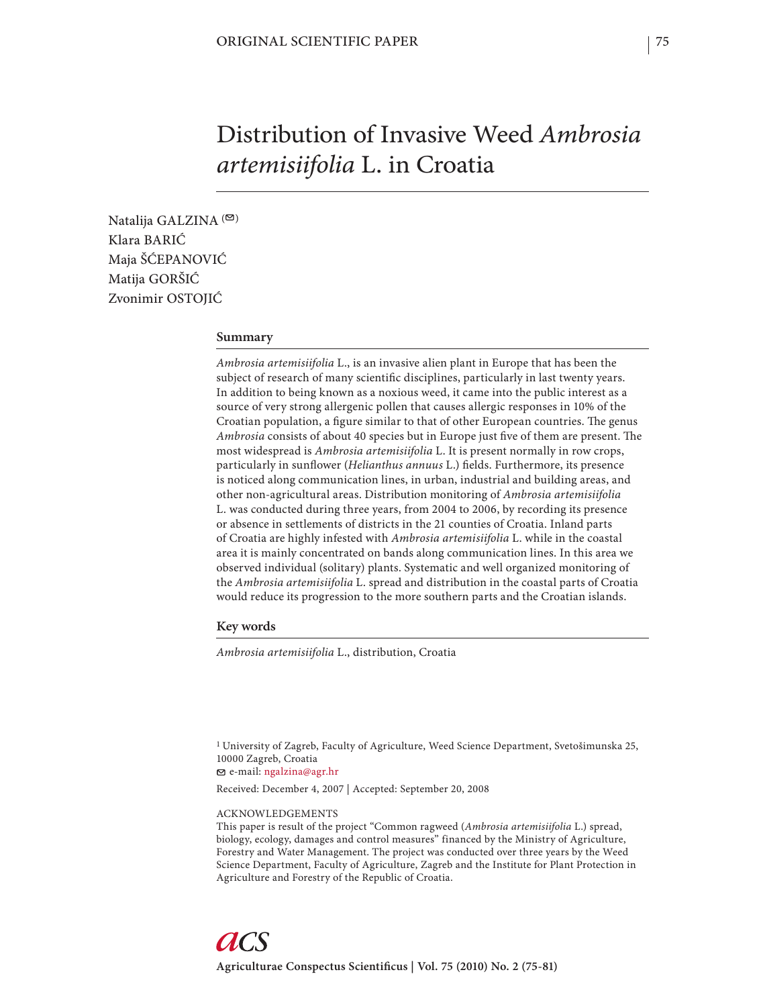# Distribution of Invasive Weed *Ambrosia artemisiifolia* L. in Croatia

Natalija GALZINA<sup>(20)</sup> Klara BARIĆ Maja ŠĆEPANOVIĆ Matija GORŠIĆ Zvonimir OSTOJIĆ

# **Summary**

*Ambrosia artemisiifolia* L., is an invasive alien plant in Europe that has been the subject of research of many scientific disciplines, particularly in last twenty years. In addition to being known as a noxious weed, it came into the public interest as a source of very strong allergenic pollen that causes allergic responses in 10% of the Croatian population, a figure similar to that of other European countries. The genus *Ambrosia* consists of about 40 species but in Europe just five of them are present. The most widespread is *Ambrosia artemisiifolia* L. It is present normally in row crops, particularly in sunflower (*Helianthus annuus* L.) fields. Furthermore, its presence is noticed along communication lines, in urban, industrial and building areas, and other non-agricultural areas. Distribution monitoring of *Ambrosia artemisiifolia* L. was conducted during three years, from 2004 to 2006, by recording its presence or absence in settlements of districts in the 21 counties of Croatia. Inland parts of Croatia are highly infested with *Ambrosia artemisiifolia* L. while in the coastal area it is mainly concentrated on bands along communication lines. In this area we observed individual (solitary) plants. Systematic and well organized monitoring of the *Ambrosia artemisiifolia* L. spread and distribution in the coastal parts of Croatia would reduce its progression to the more southern parts and the Croatian islands.

**Key words**

*Ambrosia artemisiifolia* L., distribution, Croatia

1 University of Zagreb, Faculty of Agriculture, Weed Science Department, Svetošimunska 25, 10000 Zagreb, Croatia e-mail: ngalzina@agr.hr

Received: December 4, 2007 | Accepted: September 20, 2008

#### ACKNOWLEDGEMENTS

This paper is result of the project "Common ragweed (*Ambrosia artemisiifolia* L.) spread, biology, ecology, damages and control measures" financed by the Ministry of Agriculture, Forestry and Water Management. The project was conducted over three years by the Weed Science Department, Faculty of Agriculture, Zagreb and the Institute for Plant Protection in Agriculture and Forestry of the Republic of Croatia.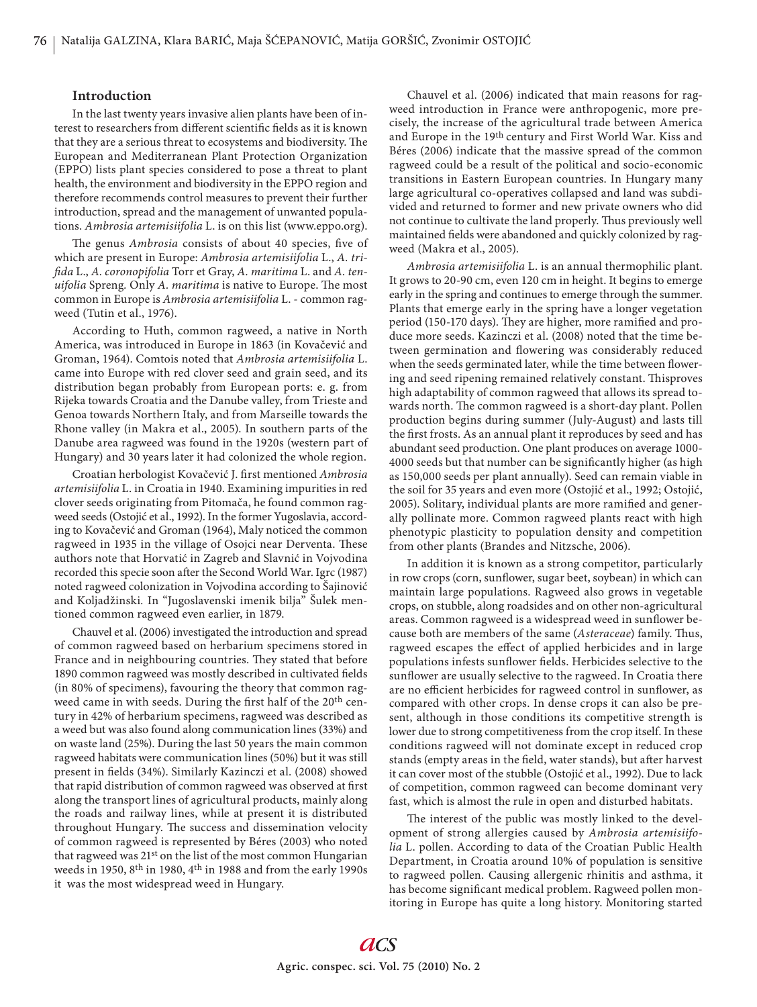# **Introduction**

In the last twenty years invasive alien plants have been of interest to researchers from different scientific fields as it is known that they are a serious threat to ecosystems and biodiversity. The European and Mediterranean Plant Protection Organization (EPPO) lists plant species considered to pose a threat to plant health, the environment and biodiversity in the EPPO region and therefore recommends control measures to prevent their further introduction, spread and the management of unwanted populations. *Ambrosia artemisiifolia* L. is on this list (www.eppo.org).

The genus *Ambrosia* consists of about 40 species, five of which are present in Europe: *Ambrosia artemisiifolia* L., *A. trifi da* L., *A. coronopifolia* Torr et Gray, *A. maritima* L. and *A. tenuifolia* Spreng. Only *A. maritima* is native to Europe. The most common in Europe is *Ambrosia artemisiifolia* L. - common ragweed (Tutin et al., 1976).

According to Huth, common ragweed, a native in North America, was introduced in Europe in 1863 (in Kovačević and Groman, 1964). Comtois noted that *Ambrosia artemisiifolia* L. came into Europe with red clover seed and grain seed, and its distribution began probably from European ports: e. g. from Rijeka towards Croatia and the Danube valley, from Trieste and Genoa towards Northern Italy, and from Marseille towards the Rhone valley (in Makra et al., 2005). In southern parts of the Danube area ragweed was found in the 1920s (western part of Hungary) and 30 years later it had colonized the whole region.

Croatian herbologist Kovačević J. fi rst mentioned *Ambrosia artemisiifolia* L. in Croatia in 1940. Examining impurities in red clover seeds originating from Pitomača, he found common ragweed seeds (Ostojić et al., 1992). In the former Yugoslavia, according to Kovačević and Groman (1964), Maly noticed the common ragweed in 1935 in the village of Osojci near Derventa. These authors note that Horvatić in Zagreb and Slavnić in Vojvodina recorded this specie soon after the Second World War. Igrc (1987) noted ragweed colonization in Vojvodina according to Šajinović and Koljadžinski*.* In "Jugoslavenski imenik bilja" Šulek mentioned common ragweed even earlier, in 1879.

Chauvel et al. (2006) investigated the introduction and spread of common ragweed based on herbarium specimens stored in France and in neighbouring countries. They stated that before 1890 common ragweed was mostly described in cultivated fields (in 80% of specimens), favouring the theory that common ragweed came in with seeds. During the first half of the 20<sup>th</sup> century in 42% of herbarium specimens, ragweed was described as a weed but was also found along communication lines (33%) and on waste land (25%). During the last 50 years the main common ragweed habitats were communication lines (50%) but it was still present in fields (34%). Similarly Kazinczi et al. (2008) showed that rapid distribution of common ragweed was observed at first along the transport lines of agricultural products, mainly along the roads and railway lines, while at present it is distributed throughout Hungary. The success and dissemination velocity of common ragweed is represented by Béres (2003) who noted that ragweed was 21st on the list of the most common Hungarian weeds in 1950, 8th in 1980, 4th in 1988 and from the early 1990s it was the most widespread weed in Hungary.

Chauvel et al. (2006) indicated that main reasons for ragweed introduction in France were anthropogenic, more precisely, the increase of the agricultural trade between America and Europe in the 19th century and First World War. Kiss and Béres (2006) indicate that the massive spread of the common ragweed could be a result of the political and socio-economic transitions in Eastern European countries. In Hungary many large agricultural co-operatives collapsed and land was subdivided and returned to former and new private owners who did not continue to cultivate the land properly. Thus previously well maintained fields were abandoned and quickly colonized by ragweed (Makra et al., 2005).

*Ambrosia artemisiifolia* L. is an annual thermophilic plant. It grows to 20-90 cm, even 120 cm in height. It begins to emerge early in the spring and continues to emerge through the summer. Plants that emerge early in the spring have a longer vegetation period (150-170 days). They are higher, more ramified and produce more seeds. Kazinczi et al. (2008) noted that the time between germination and flowering was considerably reduced when the seeds germinated later, while the time between flowering and seed ripening remained relatively constant. Thisproves high adaptability of common ragweed that allows its spread towards north. The common ragweed is a short-day plant. Pollen production begins during summer (July-August) and lasts till the first frosts. As an annual plant it reproduces by seed and has abundant seed production. One plant produces on average 1000- 4000 seeds but that number can be significantly higher (as high as 150,000 seeds per plant annually). Seed can remain viable in the soil for 35 years and even more (Ostojić et al., 1992; Ostojić, 2005). Solitary, individual plants are more ramified and generally pollinate more. Common ragweed plants react with high phenotypic plasticity to population density and competition from other plants (Brandes and Nitzsche, 2006).

In addition it is known as a strong competitor, particularly in row crops (corn, sunflower, sugar beet, soybean) in which can maintain large populations. Ragweed also grows in vegetable crops, on stubble, along roadsides and on other non-agricultural areas. Common ragweed is a widespread weed in sunflower because both are members of the same (*Asteraceae*) family. Thus, ragweed escapes the effect of applied herbicides and in large populations infests sunflower fields. Herbicides selective to the sunflower are usually selective to the ragweed. In Croatia there are no efficient herbicides for ragweed control in sunflower, as compared with other crops. In dense crops it can also be present, although in those conditions its competitive strength is lower due to strong competitiveness from the crop itself. In these conditions ragweed will not dominate except in reduced crop stands (empty areas in the field, water stands), but after harvest it can cover most of the stubble (Ostojić et al., 1992). Due to lack of competition, common ragweed can become dominant very fast, which is almost the rule in open and disturbed habitats.

The interest of the public was mostly linked to the development of strong allergies caused by *Ambrosia artemisiifolia* L. pollen. According to data of the Croatian Public Health Department, in Croatia around 10% of population is sensitive to ragweed pollen. Causing allergenic rhinitis and asthma, it has become significant medical problem. Ragweed pollen monitoring in Europe has quite a long history. Monitoring started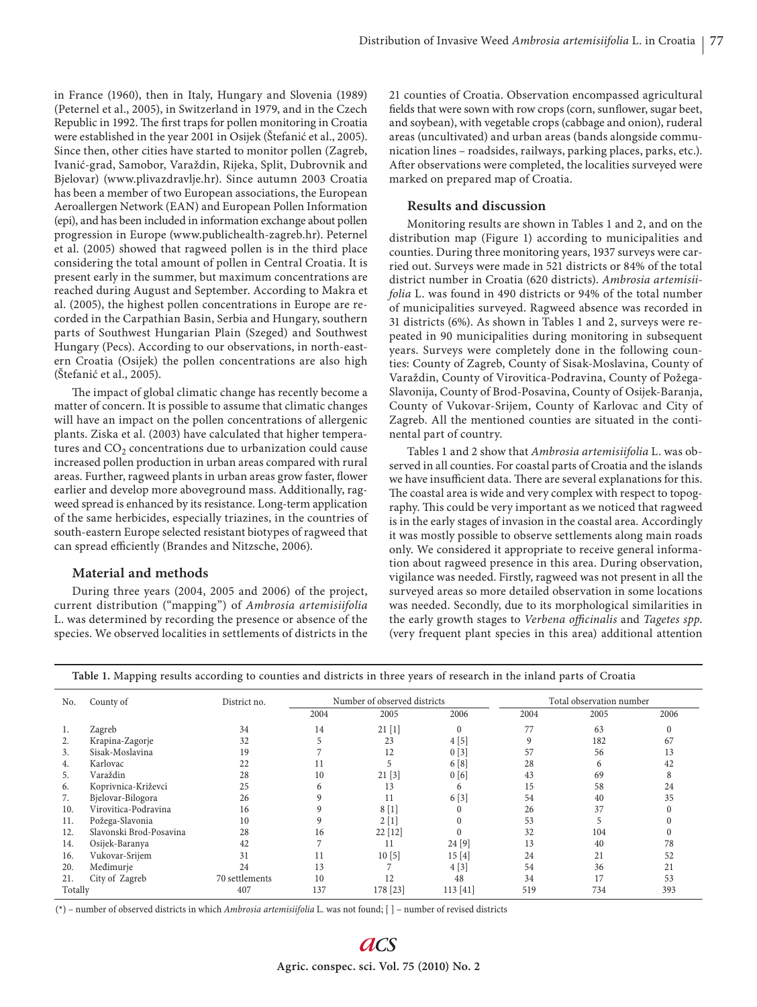in France (1960), then in Italy, Hungary and Slovenia (1989) (Peternel et al., 2005), in Switzerland in 1979, and in the Czech Republic in 1992. The first traps for pollen monitoring in Croatia were established in the year 2001 in Osijek (Štefanić et al., 2005). Since then, other cities have started to monitor pollen (Zagreb, Ivanić-grad, Samobor, Varaždin, Rijeka, Split, Dubrovnik and Bjelovar) (www.plivazdravlje.hr). Since autumn 2003 Croatia has been a member of two European associations, the European Aeroallergen Network (EAN) and European Pollen Information (epi), and has been included in information exchange about pollen progression in Europe (www.publichealth-zagreb.hr). Peternel et al. (2005) showed that ragweed pollen is in the third place considering the total amount of pollen in Central Croatia. It is present early in the summer, but maximum concentrations are reached during August and September. According to Makra et al. (2005), the highest pollen concentrations in Europe are recorded in the Carpathian Basin, Serbia and Hungary, southern parts of Southwest Hungarian Plain (Szeged) and Southwest Hungary (Pecs). According to our observations, in north-eastern Croatia (Osijek) the pollen concentrations are also high (Štefanić et al., 2005).

The impact of global climatic change has recently become a matter of concern. It is possible to assume that climatic changes will have an impact on the pollen concentrations of allergenic plants. Ziska et al. (2003) have calculated that higher temperatures and  $CO<sub>2</sub>$  concentrations due to urbanization could cause increased pollen production in urban areas compared with rural areas. Further, ragweed plants in urban areas grow faster, flower earlier and develop more aboveground mass. Additionally, ragweed spread is enhanced by its resistance. Long-term application of the same herbicides, especially triazines, in the countries of south-eastern Europe selected resistant biotypes of ragweed that can spread efficiently (Brandes and Nitzsche, 2006).

# **Material and methods**

During three years (2004, 2005 and 2006) of the project, current distribution ("mapping") of *Ambrosia artemisiifolia*  L. was determined by recording the presence or absence of the species. We observed localities in settlements of districts in the 21 counties of Croatia. Observation encompassed agricultural fields that were sown with row crops (corn, sunflower, sugar beet, and soybean), with vegetable crops (cabbage and onion), ruderal areas (uncultivated) and urban areas (bands alongside communication lines – roadsides, railways, parking places, parks, etc.). After observations were completed, the localities surveyed were marked on prepared map of Croatia.

# **Results and discussion**

Monitoring results are shown in Tables 1 and 2, and on the distribution map (Figure 1) according to municipalities and counties. During three monitoring years, 1937 surveys were carried out. Surveys were made in 521 districts or 84% of the total district number in Croatia (620 districts). *Ambrosia artemisiifolia* L. was found in 490 districts or 94% of the total number of municipalities surveyed. Ragweed absence was recorded in 31 districts (6%). As shown in Tables 1 and 2, surveys were repeated in 90 municipalities during monitoring in subsequent years. Surveys were completely done in the following counties: County of Zagreb, County of Sisak-Moslavina, County of Varaždin, County of Virovitica-Podravina, County of Požega-Slavonija, County of Brod-Posavina, County of Osijek-Baranja, County of Vukovar-Srijem, County of Karlovac and City of Zagreb. All the mentioned counties are situated in the continental part of country.

Tables 1 and 2 show that *Ambrosia artemisiifolia* L. was observed in all counties. For coastal parts of Croatia and the islands we have insufficient data. There are several explanations for this. The coastal area is wide and very complex with respect to topography. This could be very important as we noticed that ragweed is in the early stages of invasion in the coastal area. Accordingly it was mostly possible to observe settlements along main roads only. We considered it appropriate to receive general information about ragweed presence in this area. During observation, vigilance was needed. Firstly, ragweed was not present in all the surveyed areas so more detailed observation in some locations was needed. Secondly, due to its morphological similarities in the early growth stages to *Verbena officinalis* and *Tagetes spp*. (very frequent plant species in this area) additional attention

| No.     | County of               | District no.   | Number of observed districts |           |          | Total observation number |      |      |
|---------|-------------------------|----------------|------------------------------|-----------|----------|--------------------------|------|------|
|         |                         |                | 2004                         | 2005      | 2006     | 2004                     | 2005 | 2006 |
| 1.      | Zagreb                  | 34             | 14                           | 21[1]     | $\theta$ | 77                       | 63   |      |
| 2.      | Krapina-Zagorje         | 32             |                              | 23        | 4[5]     | 9                        | 182  | 67   |
| 3.      | Sisak-Moslavina         | 19             |                              | 12        | 0[3]     | 57                       | 56   | 13   |
| 4.      | Karlovac                | 22             | 11                           |           | 6[8]     | 28                       |      | 42   |
| 5.      | Varaždin                | 28             | 10                           | 21[3]     | 0[6]     | 43                       | 69   |      |
| 6.      | Koprivnica-Križevci     | 25             | 6                            | 13        | 6        | 15                       | 58   | 24   |
| 7.      | Bjelovar-Bilogora       | 26             | 9                            | 11        | 6[3]     | 54                       | 40   | 35   |
| 10.     | Virovitica-Podravina    | 16             |                              | 8[1]      | $\Omega$ | 26                       | 37   |      |
| 11.     | Požega-Slavonia         | 10             | 9                            | 2[1]      | $\Omega$ | 53                       |      |      |
| 12.     | Slavonski Brod-Posavina | 28             | 16                           | $22$ [12] |          | 32                       | 104  |      |
| 14.     | Osijek-Baranya          | 42             |                              | 11        | 24 [9]   | 13                       | 40   | 78   |
| 16.     | Vukovar-Srijem          | 31             | 11                           | 10[5]     | 15[4]    | 24                       | 21   | 52   |
| 20.     | Međimurje               | 24             | 13                           |           | 4[3]     | 54                       | 36   |      |
| 21.     | City of Zagreb          | 70 settlements | 10                           | 12        | 48       | 34                       | 17   | 53   |
| Totally |                         | 407            | 137                          | 178 [23]  | 113[41]  | 519                      | 734  | 393  |

|  |  | Table 1. Mapping results according to counties and districts in three years of research in the inland parts of Croatia |
|--|--|------------------------------------------------------------------------------------------------------------------------|
|--|--|------------------------------------------------------------------------------------------------------------------------|

(\*) – number of observed districts in which *Ambrosia artemisiifolia* L. was not found; [ ] – number of revised districts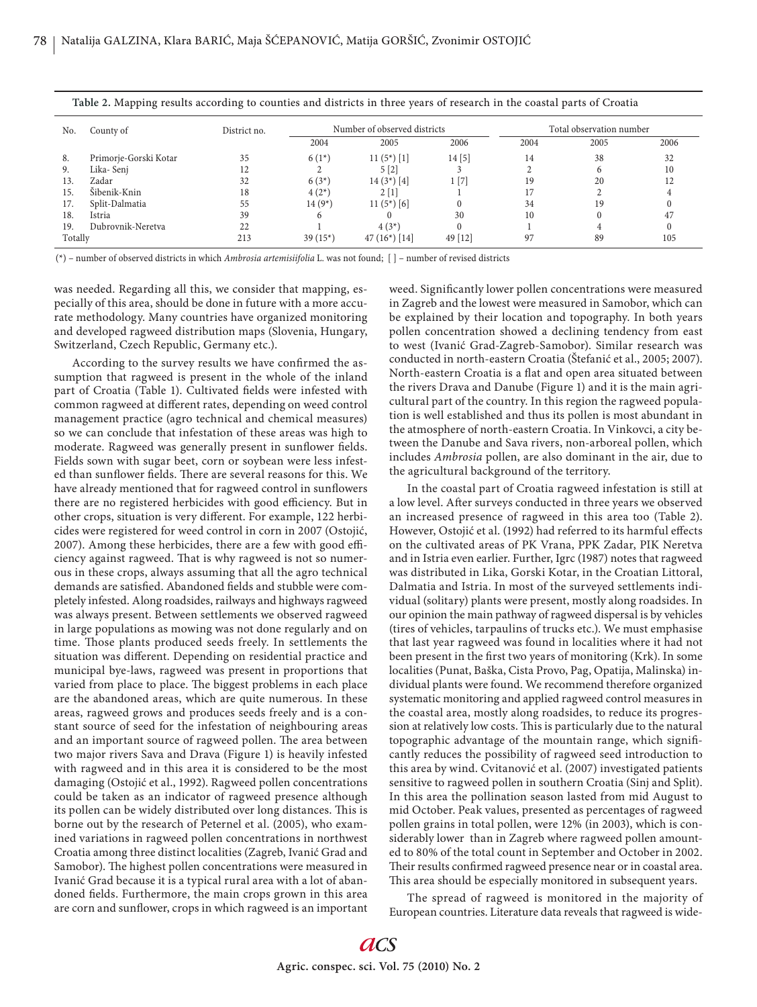|         | .                     | $\sim$       |                              |                  |         |                          |      |      |
|---------|-----------------------|--------------|------------------------------|------------------|---------|--------------------------|------|------|
| No.     | County of             | District no. | Number of observed districts |                  |         | Total observation number |      |      |
|         |                       |              | 2004                         | 2005             | 2006    | 2004                     | 2005 | 2006 |
| 8.      | Primorje-Gorski Kotar | 35           | $6(1*)$                      | $11(5^*)$ [1]    | 14[5]   | 14                       | 38   | 32   |
| 9.      | Lika-Senj             |              |                              | 5[2]             |         |                          |      | 10   |
| 13.     | Zadar                 | 32           | $6(3*)$                      | $14(3^*)$ [4]    | 1 [7]   | 19                       | 20   |      |
| 15.     | Šibenik-Knin          | 18           | $4(2^{*})$                   | 2[1]             |         |                          |      |      |
| 17.     | Split-Dalmatia        | 55           | $14(9*)$                     | $11(5*)$ [6]     |         | 34                       | 19   |      |
| 18.     | Istria                | 39           | 6                            |                  | 30      | 10                       |      | 47   |
| 19.     | Dubrovnik-Neretva     | 22           |                              | $4(3^*)$         |         |                          |      |      |
| Totally |                       | 213          | $39(15*)$                    | 47 $(16^*)$ [14] | 49 [12] | 97                       | 89   | 105  |

**Table 2.** Mapping results according to counties and districts in three years of research in the coastal parts of Croatia

(\*) – number of observed districts in which *Ambrosia artemisiifolia* L. was not found; [ ] – number of revised districts

was needed. Regarding all this, we consider that mapping, especially of this area, should be done in future with a more accurate methodology. Many countries have organized monitoring and developed ragweed distribution maps (Slovenia, Hungary, Switzerland, Czech Republic, Germany etc.).

According to the survey results we have confirmed the assumption that ragweed is present in the whole of the inland part of Croatia (Table 1). Cultivated fields were infested with common ragweed at different rates, depending on weed control management practice (agro technical and chemical measures) so we can conclude that infestation of these areas was high to moderate. Ragweed was generally present in sunflower fields. Fields sown with sugar beet, corn or soybean were less infested than sunflower fields. There are several reasons for this. We have already mentioned that for ragweed control in sunflowers there are no registered herbicides with good efficiency. But in other crops, situation is very different. For example, 122 herbicides were registered for weed control in corn in 2007 (Ostojić, 2007). Among these herbicides, there are a few with good efficiency against ragweed. That is why ragweed is not so numerous in these crops, always assuming that all the agro technical demands are satisfied. Abandoned fields and stubble were completely infested. Along roadsides, railways and highways ragweed was always present. Between settlements we observed ragweed in large populations as mowing was not done regularly and on time. Those plants produced seeds freely. In settlements the situation was different. Depending on residential practice and municipal bye-laws, ragweed was present in proportions that varied from place to place. The biggest problems in each place are the abandoned areas, which are quite numerous. In these areas, ragweed grows and produces seeds freely and is a constant source of seed for the infestation of neighbouring areas and an important source of ragweed pollen. The area between two major rivers Sava and Drava (Figure 1) is heavily infested with ragweed and in this area it is considered to be the most damaging (Ostojić et al., 1992). Ragweed pollen concentrations could be taken as an indicator of ragweed presence although its pollen can be widely distributed over long distances. This is borne out by the research of Peternel et al. (2005), who examined variations in ragweed pollen concentrations in northwest Croatia among three distinct localities (Zagreb, Ivanić Grad and Samobor). The highest pollen concentrations were measured in Ivanić Grad because it is a typical rural area with a lot of abandoned fields. Furthermore, the main crops grown in this area are corn and sunflower, crops in which ragweed is an important weed. Significantly lower pollen concentrations were measured in Zagreb and the lowest were measured in Samobor, which can be explained by their location and topography. In both years pollen concentration showed a declining tendency from east to west (Ivanić Grad-Zagreb-Samobor). Similar research was conducted in north-eastern Croatia (Štefanić et al., 2005; 2007). North-eastern Croatia is a flat and open area situated between the rivers Drava and Danube (Figure 1) and it is the main agricultural part of the country. In this region the ragweed population is well established and thus its pollen is most abundant in the atmosphere of north-eastern Croatia. In Vinkovci, a city between the Danube and Sava rivers, non-arboreal pollen, which includes *Ambrosia* pollen, are also dominant in the air, due to the agricultural background of the territory.

In the coastal part of Croatia ragweed infestation is still at a low level. After surveys conducted in three years we observed an increased presence of ragweed in this area too (Table 2). However, Ostojić et al. (1992) had referred to its harmful effects on the cultivated areas of PK Vrana, PPK Zadar, PIK Neretva and in Istria even earlier. Further, Igrc (1987) notes that ragweed was distributed in Lika, Gorski Kotar, in the Croatian Littoral, Dalmatia and Istria. In most of the surveyed settlements individual (solitary) plants were present, mostly along roadsides. In our opinion the main pathway of ragweed dispersal is by vehicles (tires of vehicles, tarpaulins of trucks etc.). We must emphasise that last year ragweed was found in localities where it had not been present in the first two years of monitoring (Krk). In some localities (Punat, Baška, Cista Provo, Pag, Opatija, Malinska) individual plants were found. We recommend therefore organized systematic monitoring and applied ragweed control measures in the coastal area, mostly along roadsides, to reduce its progression at relatively low costs. This is particularly due to the natural topographic advantage of the mountain range, which significantly reduces the possibility of ragweed seed introduction to this area by wind. Cvitanović et al. (2007) investigated patients sensitive to ragweed pollen in southern Croatia (Sinj and Split). In this area the pollination season lasted from mid August to mid October. Peak values, presented as percentages of ragweed pollen grains in total pollen, were 12% (in 2003), which is considerably lower than in Zagreb where ragweed pollen amounted to 80% of the total count in September and October in 2002. Their results confirmed ragweed presence near or in coastal area. This area should be especially monitored in subsequent years.

The spread of ragweed is monitored in the majority of European countries. Literature data reveals that ragweed is wide-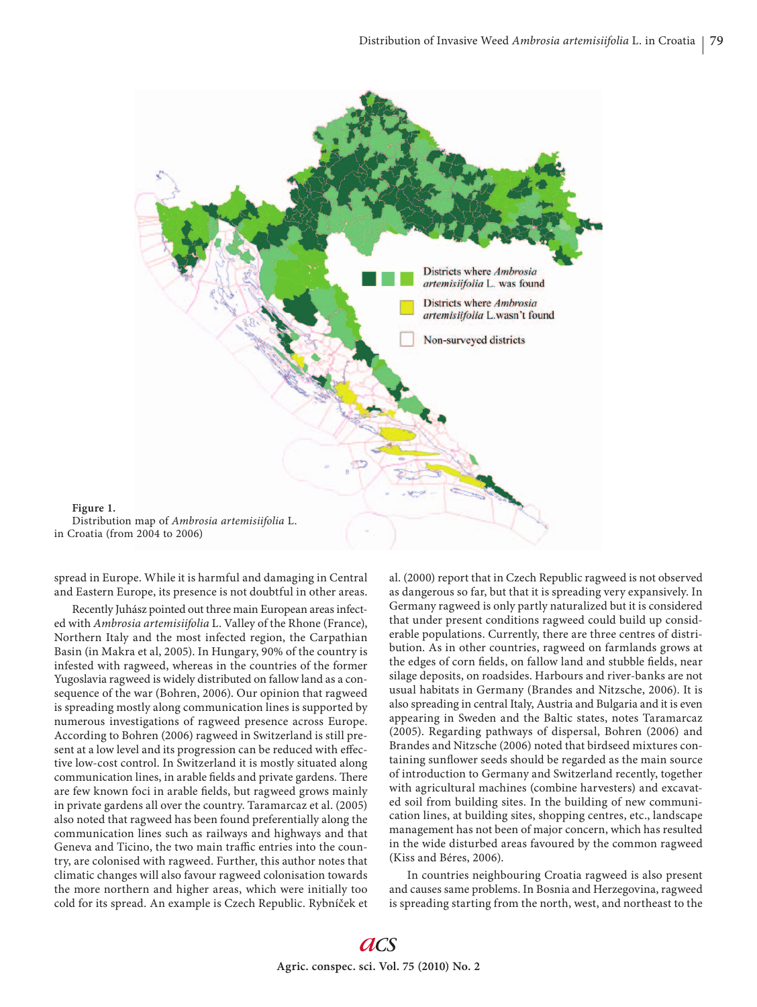

spread in Europe. While it is harmful and damaging in Central and Eastern Europe, its presence is not doubtful in other areas.

Recently Juhász pointed out three main European areas infected with *Ambrosia artemisiifolia* L. Valley of the Rhone (France), Northern Italy and the most infected region, the Carpathian Basin (in Makra et al, 2005). In Hungary, 90% of the country is infested with ragweed, whereas in the countries of the former Yugoslavia ragweed is widely distributed on fallow land as a consequence of the war (Bohren, 2006). Our opinion that ragweed is spreading mostly along communication lines is supported by numerous investigations of ragweed presence across Europe. According to Bohren (2006) ragweed in Switzerland is still present at a low level and its progression can be reduced with effective low-cost control. In Switzerland it is mostly situated along communication lines, in arable fields and private gardens. There are few known foci in arable fields, but ragweed grows mainly in private gardens all over the country. Taramarcaz et al. (2005) also noted that ragweed has been found preferentially along the communication lines such as railways and highways and that Geneva and Ticino, the two main traffic entries into the country, are colonised with ragweed. Further, this author notes that climatic changes will also favour ragweed colonisation towards the more northern and higher areas, which were initially too cold for its spread. An example is Czech Republic. Rybníček et

al. (2000) report that in Czech Republic ragweed is not observed as dangerous so far, but that it is spreading very expansively. In Germany ragweed is only partly naturalized but it is considered that under present conditions ragweed could build up considerable populations. Currently, there are three centres of distribution. As in other countries, ragweed on farmlands grows at the edges of corn fields, on fallow land and stubble fields, near silage deposits, on roadsides. Harbours and river-banks are not usual habitats in Germany (Brandes and Nitzsche, 2006). It is also spreading in central Italy, Austria and Bulgaria and it is even appearing in Sweden and the Baltic states, notes Taramarcaz (2005). Regarding pathways of dispersal, Bohren (2006) and Brandes and Nitzsche (2006) noted that birdseed mixtures containing sunflower seeds should be regarded as the main source of introduction to Germany and Switzerland recently, together with agricultural machines (combine harvesters) and excavated soil from building sites. In the building of new communication lines, at building sites, shopping centres, etc., landscape management has not been of major concern, which has resulted in the wide disturbed areas favoured by the common ragweed (Kiss and Béres, 2006).

In countries neighbouring Croatia ragweed is also present and causes same problems. In Bosnia and Herzegovina, ragweed is spreading starting from the north, west, and northeast to the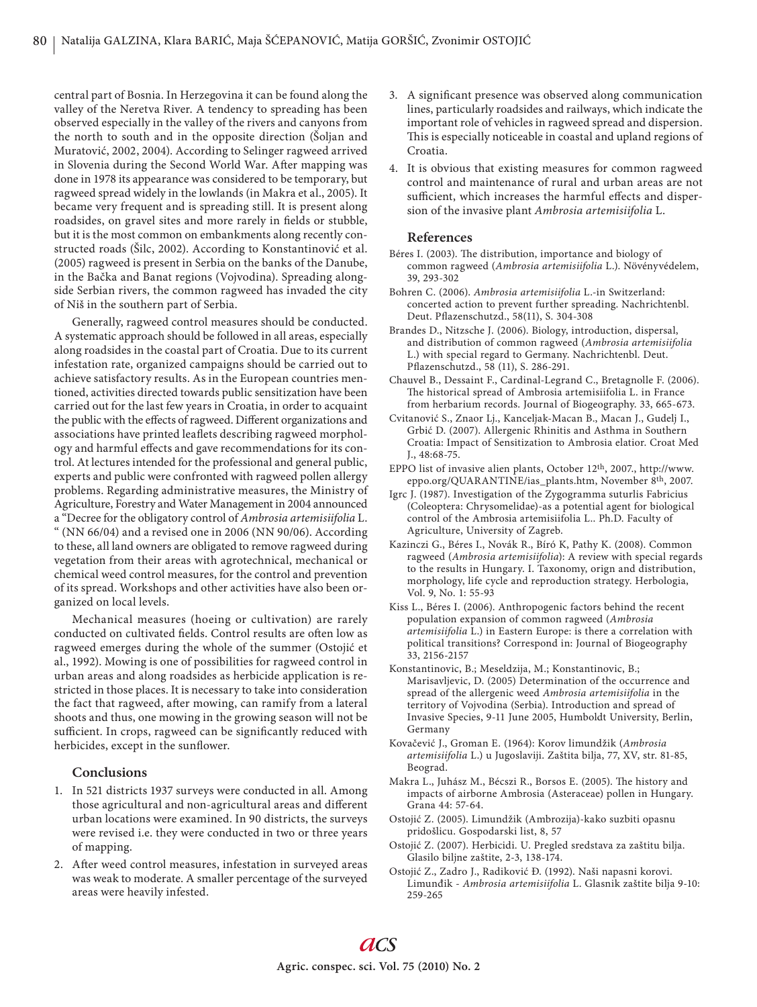central part of Bosnia. In Herzegovina it can be found along the valley of the Neretva River. A tendency to spreading has been observed especially in the valley of the rivers and canyons from the north to south and in the opposite direction (Šoljan and Muratović, 2002, 2004). According to Selinger ragweed arrived in Slovenia during the Second World War. After mapping was done in 1978 its appearance was considered to be temporary, but ragweed spread widely in the lowlands (in Makra et al., 2005). It became very frequent and is spreading still. It is present along roadsides, on gravel sites and more rarely in fields or stubble, but it is the most common on embankments along recently constructed roads (Šilc, 2002). According to Konstantinović et al. (2005) ragweed is present in Serbia on the banks of the Danube, in the Bačka and Banat regions (Vojvodina). Spreading alongside Serbian rivers, the common ragweed has invaded the city of Niš in the southern part of Serbia.

Generally, ragweed control measures should be conducted. A systematic approach should be followed in all areas, especially along roadsides in the coastal part of Croatia. Due to its current infestation rate, organized campaigns should be carried out to achieve satisfactory results. As in the European countries mentioned, activities directed towards public sensitization have been carried out for the last few years in Croatia, in order to acquaint the public with the effects of ragweed. Different organizations and associations have printed leaflets describing ragweed morphology and harmful effects and gave recommendations for its control. At lectures intended for the professional and general public, experts and public were confronted with ragweed pollen allergy problems. Regarding administrative measures, the Ministry of Agriculture, Forestry and Water Management in 2004 announced a "Decree for the obligatory control of *Ambrosia artemisiifolia* L. " (NN 66/04) and a revised one in 2006 (NN 90/06). According to these, all land owners are obligated to remove ragweed during vegetation from their areas with agrotechnical, mechanical or chemical weed control measures, for the control and prevention of its spread. Workshops and other activities have also been organized on local levels.

Mechanical measures (hoeing or cultivation) are rarely conducted on cultivated fields. Control results are often low as ragweed emerges during the whole of the summer (Ostojić et al., 1992). Mowing is one of possibilities for ragweed control in urban areas and along roadsides as herbicide application is restricted in those places. It is necessary to take into consideration the fact that ragweed, after mowing, can ramify from a lateral shoots and thus, one mowing in the growing season will not be sufficient. In crops, ragweed can be significantly reduced with herbicides, except in the sunflower.

# **Conclusions**

- 1. In 521 districts 1937 surveys were conducted in all. Among those agricultural and non-agricultural areas and different urban locations were examined. In 90 districts, the surveys were revised i.e. they were conducted in two or three years of mapping.
- 2. After weed control measures, infestation in surveyed areas was weak to moderate. A smaller percentage of the surveyed areas were heavily infested.
- 3. A significant presence was observed along communication lines, particularly roadsides and railways, which indicate the important role of vehicles in ragweed spread and dispersion. This is especially noticeable in coastal and upland regions of Croatia.
- 4. It is obvious that existing measures for common ragweed control and maintenance of rural and urban areas are not sufficient, which increases the harmful effects and dispersion of the invasive plant *Ambrosia artemisiifolia* L.

## **References**

- Béres I. (2003). The distribution, importance and biology of common ragweed (*Ambrosia artemisiifolia* L.). Növényvédelem, 39, 293-302
- Bohren C. (2006). *Ambrosia artemisiifolia* L.-in Switzerland: concerted action to prevent further spreading. Nachrichtenbl. Deut. Pflazenschutzd., 58(11), S. 304-308
- Brandes D., Nitzsche J. (2006). Biology, introduction, dispersal, and distribution of common ragweed (*Ambrosia artemisiifolia* L.) with special regard to Germany. Nachrichtenbl. Deut. Pflazenschutzd., 58 (11), S. 286-291.
- Chauvel B., Dessaint F., Cardinal-Legrand C., Bretagnolle F. (2006). The historical spread of Ambrosia artemisiifolia L. in France from herbarium records. Journal of Biogeography. 33, 665-673.
- Cvitanović S., Znaor Lj., Kanceljak-Macan B., Macan J., Gudelj I., Grbić D. (2007). Allergenic Rhinitis and Asthma in Southern Croatia: Impact of Sensitization to Ambrosia elatior. Croat Med J., 48:68-75.
- EPPO list of invasive alien plants, October 12th, 2007., http://www. eppo.org/QUARANTINE/ias\_plants.htm, November 8th, 2007.
- Igrc J. (1987). Investigation of the Zygogramma suturlis Fabricius (Coleoptera: Chrysomelidae)-as a potential agent for biological control of the Ambrosia artemisiifolia L.. Ph.D. Faculty of Agriculture, University of Zagreb.
- Kazinczi G., Béres I., Novák R., Bíró K, Pathy K. (2008). Common ragweed (*Ambrosia artemisiifolia*): A review with special regards to the results in Hungary. I. Taxonomy, orign and distribution, morphology, life cycle and reproduction strategy. Herbologia, Vol. 9, No. 1: 55-93
- Kiss L., Béres I. (2006). Anthropogenic factors behind the recent population expansion of common ragweed (*Ambrosia artemisiifolia* L.) in Eastern Europe: is there a correlation with political transitions? Correspond in: Journal of Biogeography 33, 2156-2157
- Konstantinovic, B.; Meseldzija, M.; Konstantinovic, B.; Marisavljevic, D. (2005) Determination of the occurrence and spread of the allergenic weed *Ambrosia artemisiifolia* in the territory of Vojvodina (Serbia). Introduction and spread of Invasive Species, 9-11 June 2005, Humboldt University, Berlin, Germany
- Kovačević J., Groman E. (1964): Korov limundžik (*Ambrosia artemisiifolia* L.) u Jugoslaviji. Zaštita bilja, 77, XV, str. 81-85, Beograd.
- Makra L., Juhász M., Bécszi R., Borsos E. (2005). The history and impacts of airborne Ambrosia (Asteraceae) pollen in Hungary. Grana 44: 57-64.
- Ostojić Z. (2005). Limundžik (Ambrozija)-kako suzbiti opasnu pridošlicu. Gospodarski list, 8, 57
- Ostojić Z. (2007). Herbicidi. U. Pregled sredstava za zaštitu bilja. Glasilo biljne zaštite, 2-3, 138-174.
- Ostojić Z., Zadro J., Radiković Đ. (1992). Naši napasni korovi. Limunđik - *Ambrosia artemisiifolia* L. Glasnik zaštite bilja 9-10: 259-265